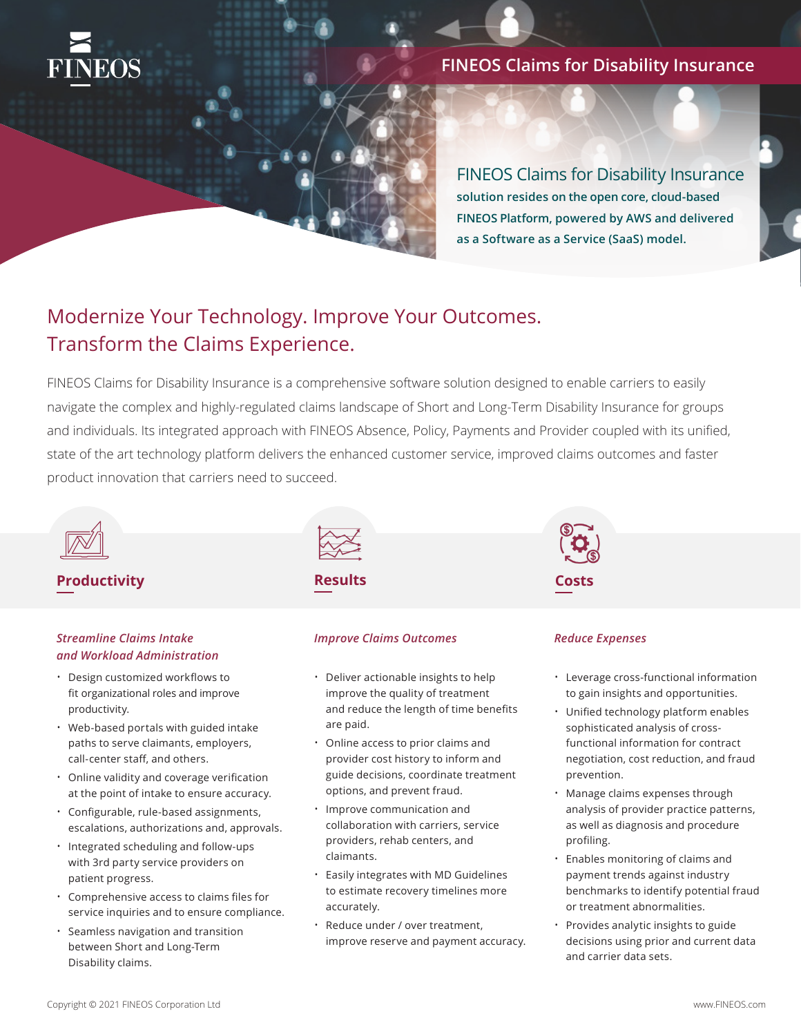

## **FINEOS Claims for Disability Insurance**

FINEOS Claims for Disability Insurance **solution resides on the open core, cloud-based FINEOS Platform, powered by AWS and delivered as a Software as a Service (SaaS) model.** 

# Modernize Your Technology. Improve Your Outcomes. Transform the Claims Experience.

FINEOS Claims for Disability Insurance is a comprehensive software solution designed to enable carriers to easily navigate the complex and highly-regulated claims landscape of Short and Long-Term Disability Insurance for groups and individuals. Its integrated approach with FINEOS Absence, Policy, Payments and Provider coupled with its unified, state of the art technology platform delivers the enhanced customer service, improved claims outcomes and faster product innovation that carriers need to succeed.



## **Productivity Costs**

### *Streamline Claims Intake and Workload Administration*

- Design customized workflows to fit organizational roles and improve productivity.
- Web-based portals with guided intake paths to serve claimants, employers, call-center staff, and others.
- Online validity and coverage verification at the point of intake to ensure accuracy.
- Configurable, rule-based assignments, escalations, authorizations and, approvals.
- Integrated scheduling and follow-ups with 3rd party service providers on patient progress.
- Comprehensive access to claims files for service inquiries and to ensure compliance.
- Seamless navigation and transition between Short and Long-Term Disability claims.

**Results**

# *Improve Claims Outcomes*

- Deliver actionable insights to help improve the quality of treatment and reduce the length of time benefits are paid.
- Online access to prior claims and provider cost history to inform and guide decisions, coordinate treatment options, and prevent fraud.
- Improve communication and collaboration with carriers, service providers, rehab centers, and claimants.
- Easily integrates with MD Guidelines to estimate recovery timelines more accurately.
- Reduce under / over treatment, improve reserve and payment accuracy.



### *Reduce Expenses*

- Leverage cross-functional information to gain insights and opportunities.
- Unified technology platform enables sophisticated analysis of crossfunctional information for contract negotiation, cost reduction, and fraud prevention.
- Manage claims expenses through analysis of provider practice patterns, as well as diagnosis and procedure profiling.
- Enables monitoring of claims and payment trends against industry benchmarks to identify potential fraud or treatment abnormalities.
- Provides analytic insights to guide decisions using prior and current data and carrier data sets.